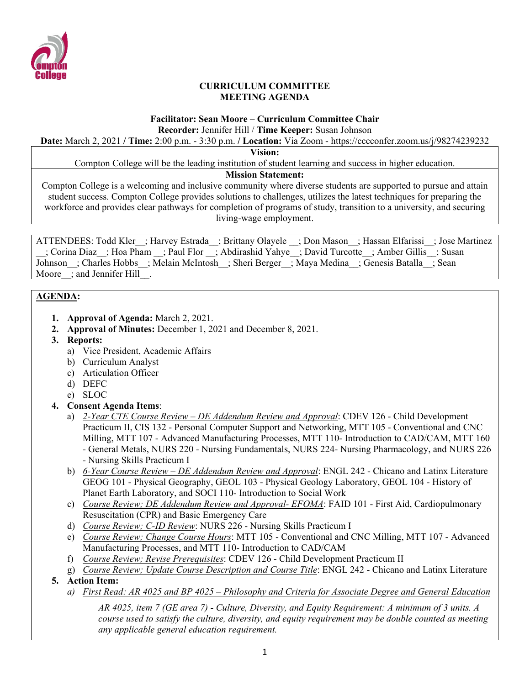

### **CURRICULUM COMMITTEE MEETING AGENDA**

#### **Facilitator: Sean Moore – Curriculum Committee Chair Recorder:** Jennifer Hill / **Time Keeper:** Susan Johnson

**Date:** March 2, 2021 **/ Time:** 2:00 p.m. - 3:30 p.m. **/ Location:** Via Zoom - https://cccconfer.zoom.us/j/98274239232

**Vision:**

Compton College will be the leading institution of student learning and success in higher education.

#### **Mission Statement:**

Compton College is a welcoming and inclusive community where diverse students are supported to pursue and attain student success. Compton College provides solutions to challenges, utilizes the latest techniques for preparing the workforce and provides clear pathways for completion of programs of study, transition to a university, and securing living-wage employment.

ATTENDEES: Todd Kler ; Harvey Estrada ; Brittany Olayele ; Don Mason ; Hassan Elfarissi ; Jose Martinez \_\_; Corina Diaz\_\_; Hoa Pham \_\_; Paul Flor \_\_; Abdirashid Yahye\_\_; David Turcotte\_\_; Amber Gillis\_\_; Susan Johnson ; Charles Hobbs ; Melain McIntosh ; Sheri Berger ; Maya Medina ; Genesis Batalla ; Sean Moore ; and Jennifer Hill .

# **AGENDA:**

- **1. Approval of Agenda:** March 2, 2021.
- **2. Approval of Minutes:** December 1, 2021 and December 8, 2021.
- **3. Reports:** 
	- a) Vice President, Academic Affairs
	- b) Curriculum Analyst
	- c) Articulation Officer
	- d) DEFC
	- e) SLOC
- **4. Consent Agenda Items**:
	- a) *2-Year CTE Course Review – DE Addendum Review and Approval*: CDEV 126 Child Development Practicum II, CIS 132 - Personal Computer Support and Networking, MTT 105 - Conventional and CNC Milling, MTT 107 - Advanced Manufacturing Processes, MTT 110- Introduction to CAD/CAM, MTT 160 - General Metals, NURS 220 - Nursing Fundamentals, NURS 224- Nursing Pharmacology, and NURS 226 - Nursing Skills Practicum I
	- b) *6-Year Course Review – DE Addendum Review and Approval*: ENGL 242 Chicano and Latinx Literature GEOG 101 - Physical Geography, GEOL 103 - Physical Geology Laboratory, GEOL 104 - History of Planet Earth Laboratory, and SOCI 110- Introduction to Social Work
	- c) *Course Review; DE Addendum Review and Approval- EFOMA*: FAID 101 First Aid, Cardiopulmonary Resuscitation (CPR) and Basic Emergency Care
	- d) *Course Review; C-ID Review*: NURS 226 Nursing Skills Practicum I
	- e) *Course Review; Change Course Hours*: MTT 105 Conventional and CNC Milling, MTT 107 Advanced Manufacturing Processes, and MTT 110- Introduction to CAD/CAM
	- f) *Course Review; Revise Prerequisites*: CDEV 126 Child Development Practicum II
	- g) *Course Review; Update Course Description and Course Title*: ENGL 242 Chicano and Latinx Literature
- **5. Action Item:**
	- *a) First Read: AR 4025 and BP 4025 – Philosophy and Criteria for Associate Degree and General Education*

*AR 4025, item 7 (GE area 7) - Culture, Diversity, and Equity Requirement: A minimum of 3 units. A course used to satisfy the culture, diversity, and equity requirement may be double counted as meeting any applicable general education requirement.*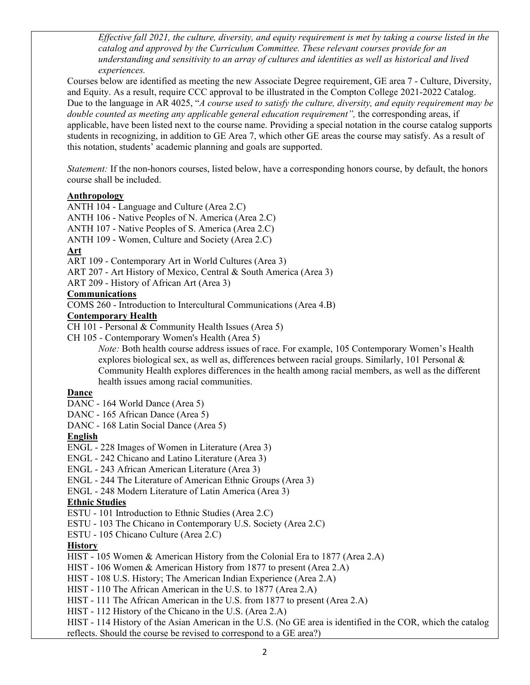*Effective fall 2021, the culture, diversity, and equity requirement is met by taking a course listed in the catalog and approved by the Curriculum Committee. These relevant courses provide for an understanding and sensitivity to an array of cultures and identities as well as historical and lived experiences.*

Courses below are identified as meeting the new Associate Degree requirement, GE area 7 - Culture, Diversity, and Equity. As a result, require CCC approval to be illustrated in the Compton College 2021-2022 Catalog. Due to the language in AR 4025, "*A course used to satisfy the culture, diversity, and equity requirement may be*  double counted as meeting any applicable general education requirement", the corresponding areas, if applicable, have been listed next to the course name. Providing a special notation in the course catalog supports students in recognizing, in addition to GE Area 7, which other GE areas the course may satisfy. As a result of this notation, students' academic planning and goals are supported.

*Statement:* If the non-honors courses, listed below, have a corresponding honors course, by default, the honors course shall be included.

### **Anthropology**

ANTH 104 - Language and Culture (Area 2.C)

ANTH 106 - Native Peoples of N. America (Area 2.C)

ANTH 107 - Native Peoples of S. America (Area 2.C)

ANTH 109 - Women, Culture and Society (Area 2.C)

#### **Art**

ART 109 - Contemporary Art in World Cultures (Area 3)

ART 207 - Art History of Mexico, Central & South America (Area 3)

ART 209 - History of African Art (Area 3)

#### **Communications**

COMS 260 - Introduction to Intercultural Communications (Area 4.B)

#### **Contemporary Health**

CH 101 - Personal & Community Health Issues (Area 5)

CH 105 - Contemporary Women's Health (Area 5)

*Note:* Both health course address issues of race. For example, 105 Contemporary Women's Health explores biological sex, as well as, differences between racial groups. Similarly, 101 Personal & Community Health explores differences in the health among racial members, as well as the different health issues among racial communities.

#### **Dance**

- DANC 164 World Dance (Area 5)
- DANC 165 African Dance (Area 5)
- DANC 168 Latin Social Dance (Area 5)

### **English**

- ENGL 228 Images of Women in Literature (Area 3)
- ENGL 242 Chicano and Latino Literature (Area 3)
- ENGL 243 African American Literature (Area 3)

ENGL - 244 The Literature of American Ethnic Groups (Area 3)

ENGL - 248 Modern Literature of Latin America (Area 3)

### **Ethnic Studies**

ESTU - 101 Introduction to Ethnic Studies (Area 2.C)

ESTU - 103 The Chicano in Contemporary U.S. Society (Area 2.C)

ESTU - 105 Chicano Culture (Area 2.C)

### **History**

HIST - 105 Women & American History from the Colonial Era to 1877 (Area 2.A)

HIST - 106 Women & American History from 1877 to present (Area 2.A)

HIST - 108 U.S. History; The American Indian Experience (Area 2.A)

HIST - 110 The African American in the U.S. to 1877 (Area 2.A)

HIST - 111 The African American in the U.S. from 1877 to present (Area 2.A)

HIST - 112 History of the Chicano in the U.S. (Area 2.A)

HIST - 114 History of the Asian American in the U.S. (No GE area is identified in the COR, which the catalog reflects. Should the course be revised to correspond to a GE area?)